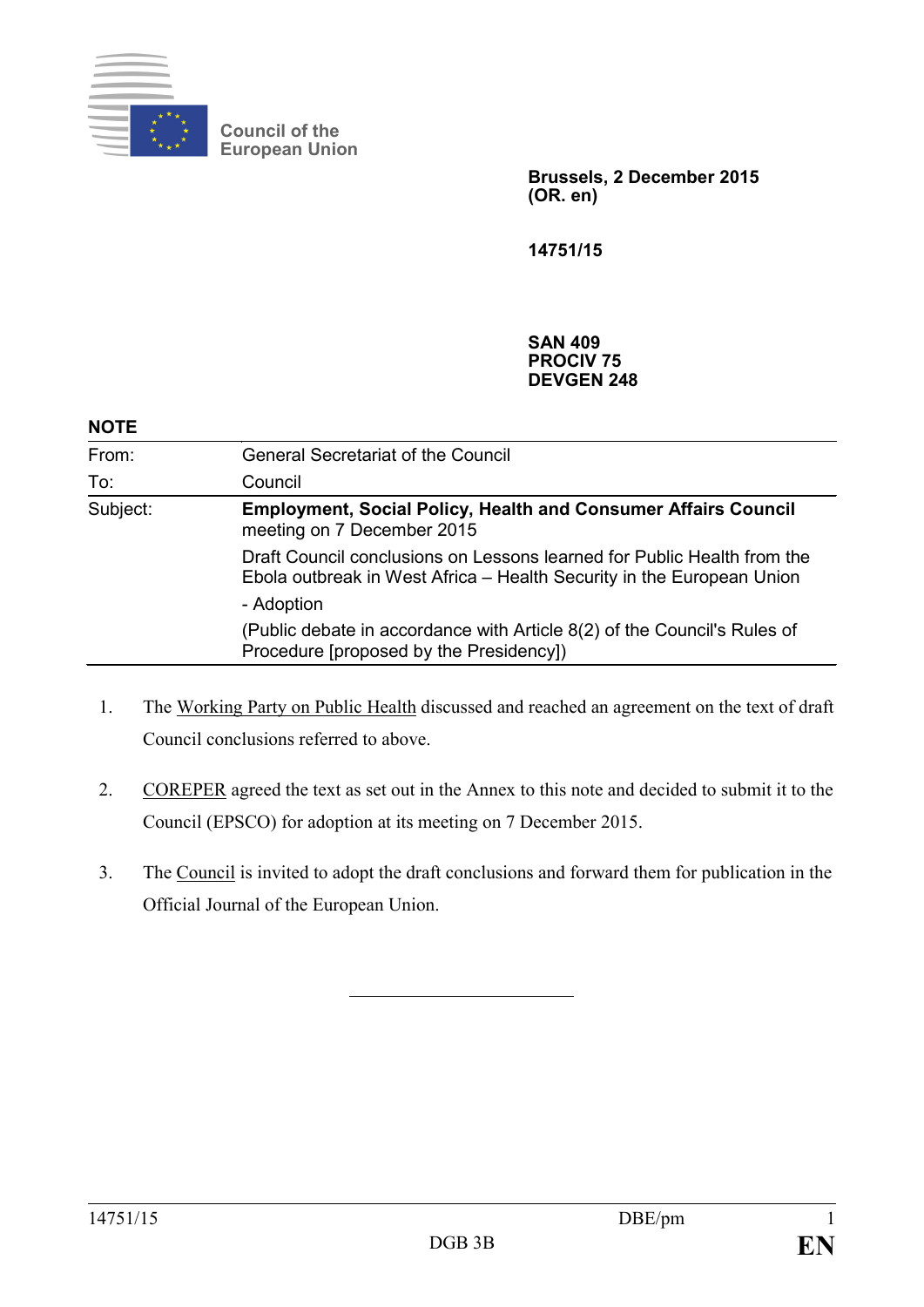

**Council of the European Union**

> **Brussels, 2 December 2015 (OR. en)**

**14751/15**

#### **SAN 409 PROCIV 75 DEVGEN 248**

| <b>NOTE</b> |                                                                                                                                                  |
|-------------|--------------------------------------------------------------------------------------------------------------------------------------------------|
| From:       | <b>General Secretariat of the Council</b>                                                                                                        |
| To:         | Council                                                                                                                                          |
| Subject:    | <b>Employment, Social Policy, Health and Consumer Affairs Council</b><br>meeting on 7 December 2015                                              |
|             | Draft Council conclusions on Lessons learned for Public Health from the<br>Ebola outbreak in West Africa – Health Security in the European Union |
|             | - Adoption                                                                                                                                       |
|             | (Public debate in accordance with Article 8(2) of the Council's Rules of<br>Procedure [proposed by the Presidency])                              |

- 1. The Working Party on Public Health discussed and reached an agreement on the text of draft Council conclusions referred to above.
- 2. COREPER agreed the text as set out in the Annex to this note and decided to submit it to the Council (EPSCO) for adoption at its meeting on 7 December 2015.
- 3. The Council is invited to adopt the draft conclusions and forward them for publication in the Official Journal of the European Union.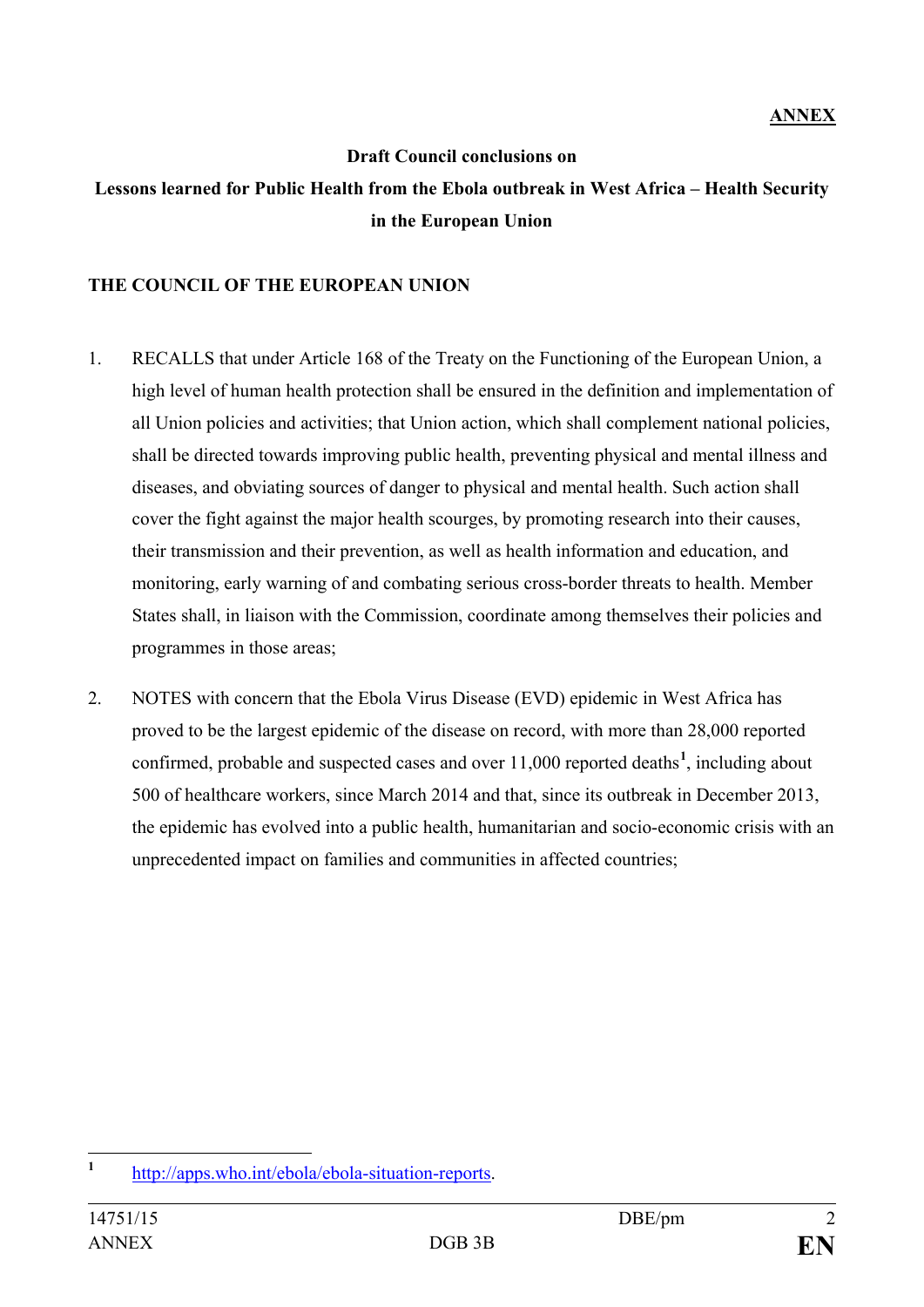#### **Draft Council conclusions on**

# **Lessons learned for Public Health from the Ebola outbreak in West Africa – Health Security in the European Union**

#### **THE COUNCIL OF THE EUROPEAN UNION**

- 1. RECALLS that under Article 168 of the Treaty on the Functioning of the European Union, a high level of human health protection shall be ensured in the definition and implementation of all Union policies and activities; that Union action, which shall complement national policies, shall be directed towards improving public health, preventing physical and mental illness and diseases, and obviating sources of danger to physical and mental health. Such action shall cover the fight against the major health scourges, by promoting research into their causes, their transmission and their prevention, as well as health information and education, and monitoring, early warning of and combating serious cross-border threats to health. Member States shall, in liaison with the Commission, coordinate among themselves their policies and programmes in those areas;
- 2. NOTES with concern that the Ebola Virus Disease (EVD) epidemic in West Africa has proved to be the largest epidemic of the disease on record, with more than 28,000 reported confirmed, probable and suspected cases and over 11,000 reported deaths**[1](#page-1-0)** , including about 500 of healthcare workers, since March 2014 and that, since its outbreak in December 2013, the epidemic has evolved into a public health, humanitarian and socio-economic crisis with an unprecedented impact on families and communities in affected countries;

<span id="page-1-0"></span>**<sup>1</sup>** [http://apps.who.int/ebola/ebola-situation-reports.](http://apps.who.int/ebola/ebola-situation-reports)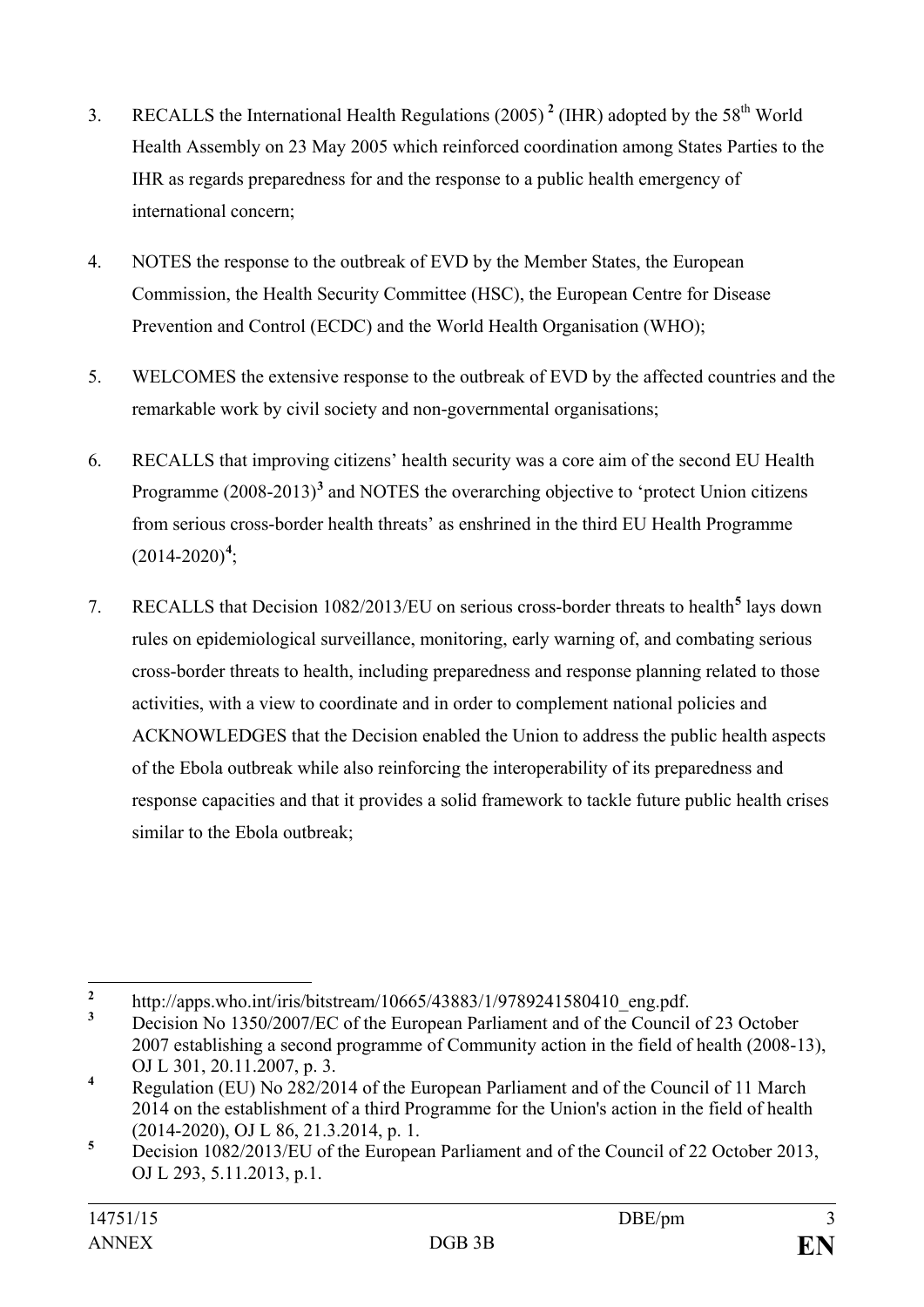- 3. RECALLS the International Health Regulations (2005) **[2](#page-2-0)** (IHR) adopted by the 58th World Health Assembly on 23 May 2005 which reinforced coordination among States Parties to the IHR as regards preparedness for and the response to a public health emergency of international concern;
- 4. NOTES the response to the outbreak of EVD by the Member States, the European Commission, the Health Security Committee (HSC), the European Centre for Disease Prevention and Control (ECDC) and the World Health Organisation (WHO);
- 5. WELCOMES the extensive response to the outbreak of EVD by the affected countries and the remarkable work by civil society and non-governmental organisations;
- 6. RECALLS that improving citizens' health security was a core aim of the second EU Health Programme (2008-2013)**[3](#page-2-1)** and NOTES the overarching objective to 'protect Union citizens from serious cross-border health threats' as enshrined in the third EU Health Programme  $(2014 - 2020)^4$  $(2014 - 2020)^4$  $(2014 - 2020)^4$ ;
- 7. RECALLS that Decision 1082/2013/EU on serious cross-border threats to health**[5](#page-2-3)** lays down rules on epidemiological surveillance, monitoring, early warning of, and combating serious cross-border threats to health, including preparedness and response planning related to those activities, with a view to coordinate and in order to complement national policies and ACKNOWLEDGES that the Decision enabled the Union to address the public health aspects of the Ebola outbreak while also reinforcing the interoperability of its preparedness and response capacities and that it provides a solid framework to tackle future public health crises similar to the Ebola outbreak;

<span id="page-2-1"></span>

<span id="page-2-0"></span><sup>&</sup>lt;sup>2</sup> http://apps.who.int/iris/bitstream/10665/43883/1/9789241580410\_eng.pdf.<br><sup>3</sup> Decision No 1350/2007/EC of the European Parliament and of the Council of 23 October 2007 establishing a second programme of Community action in the field of health (2008-13), OJ L 301, 20.11.2007, p. 3.

<span id="page-2-2"></span>**<sup>4</sup>** Regulation (EU) No 282/2014 of the European Parliament and of the Council of 11 March 2014 on the establishment of a third Programme for the Union's action in the field of health (2014-2020), OJ L 86, 21.3.2014, p. 1.

<span id="page-2-3"></span><sup>&</sup>lt;sup>5</sup> Decision 1082/2013/EU of the European Parliament and of the Council of 22 October 2013, OJ L 293, 5.11.2013, p.1.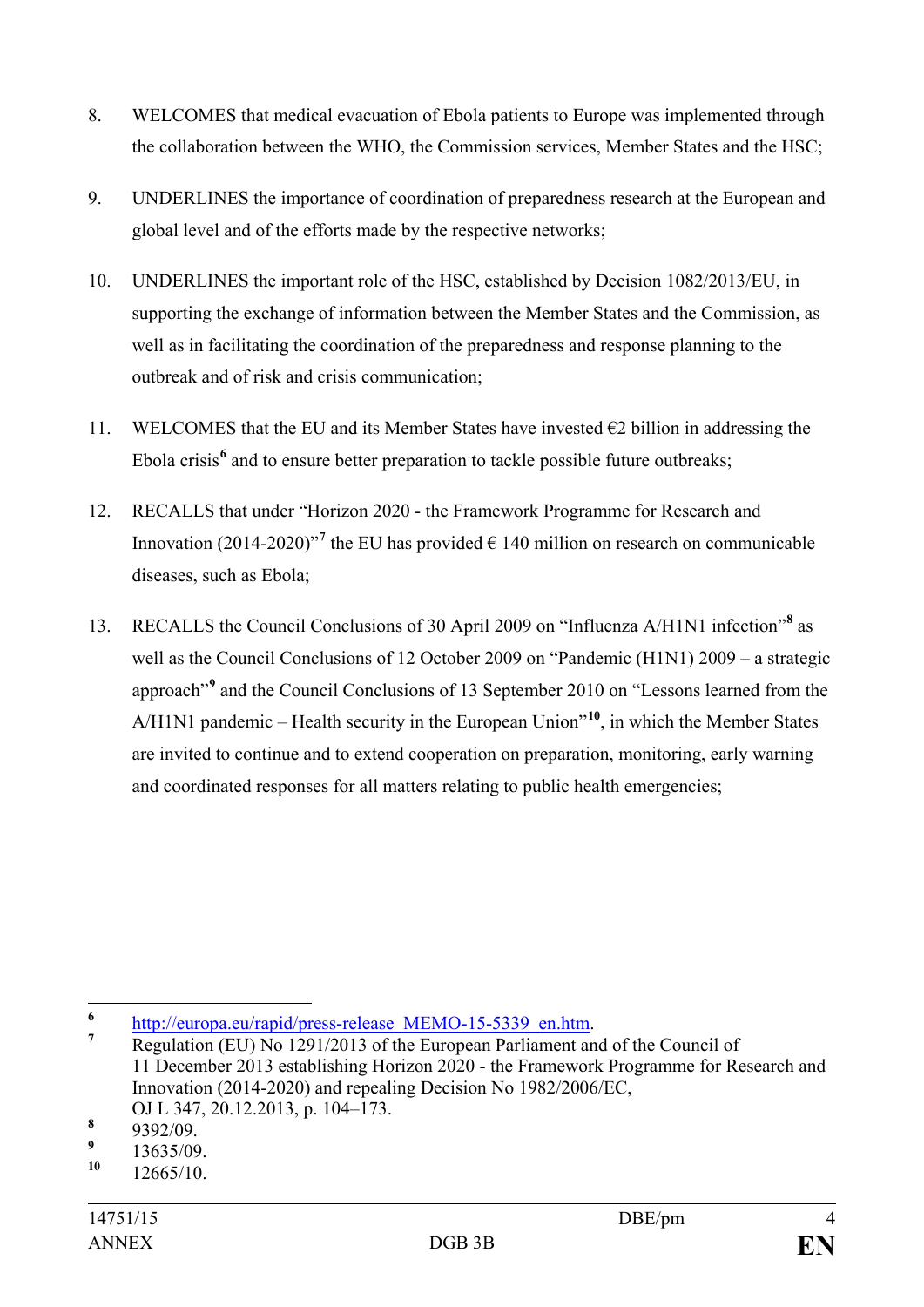- 8. WELCOMES that medical evacuation of Ebola patients to Europe was implemented through the collaboration between the WHO, the Commission services, Member States and the HSC;
- 9. UNDERLINES the importance of coordination of preparedness research at the European and global level and of the efforts made by the respective networks;
- 10. UNDERLINES the important role of the HSC, established by Decision 1082/2013/EU, in supporting the exchange of information between the Member States and the Commission, as well as in facilitating the coordination of the preparedness and response planning to the outbreak and of risk and crisis communication;
- 11. WELCOMES that the EU and its Member States have invested  $\epsilon$ 2 billion in addressing the Ebola crisis<sup>[6](#page-3-0)</sup> and to ensure better preparation to tackle possible future outbreaks;
- 12. RECALLS that under "Horizon 2020 the Framework Programme for Research and Innovation (2014-2020)<sup>"[7](#page-3-1)</sup> the EU has provided  $\epsilon$  140 million on research on communicable diseases, such as Ebola;
- 13. RECALLS the Council Conclusions of 30 April 2009 on "Influenza A/H1N1 infection"**[8](#page-3-2)** as well as the Council Conclusions of 12 October 2009 on "Pandemic (H1N1) 2009 – a strategic approach"**[9](#page-3-3)** and the Council Conclusions of 13 September 2010 on "Lessons learned from the A/H1N1 pandemic – Health security in the European Union"**[10](#page-3-4)**, in which the Member States are invited to continue and to extend cooperation on preparation, monitoring, early warning and coordinated responses for all matters relating to public health emergencies;

<span id="page-3-1"></span>

<span id="page-3-0"></span><sup>&</sup>lt;sup>6</sup> [http://europa.eu/rapid/press-release\\_MEMO-15-5339\\_en.htm.](http://europa.eu/rapid/press-release_MEMO-15-5339_en.htm)<br>**7** Regulation (EU) No 1291/2013 of the European Parliament and of the Council of 11 December 2013 establishing Horizon 2020 - the Framework Programme for Research and Innovation (2014-2020) and repealing Decision No 1982/2006/EC, OJ L 347, 20.12.2013, p. 104–173. **<sup>8</sup>** 9392/09.

<span id="page-3-2"></span>

<span id="page-3-3"></span> $\frac{9}{10}$  13635/09.

<span id="page-3-4"></span>**<sup>10</sup>** 12665/10.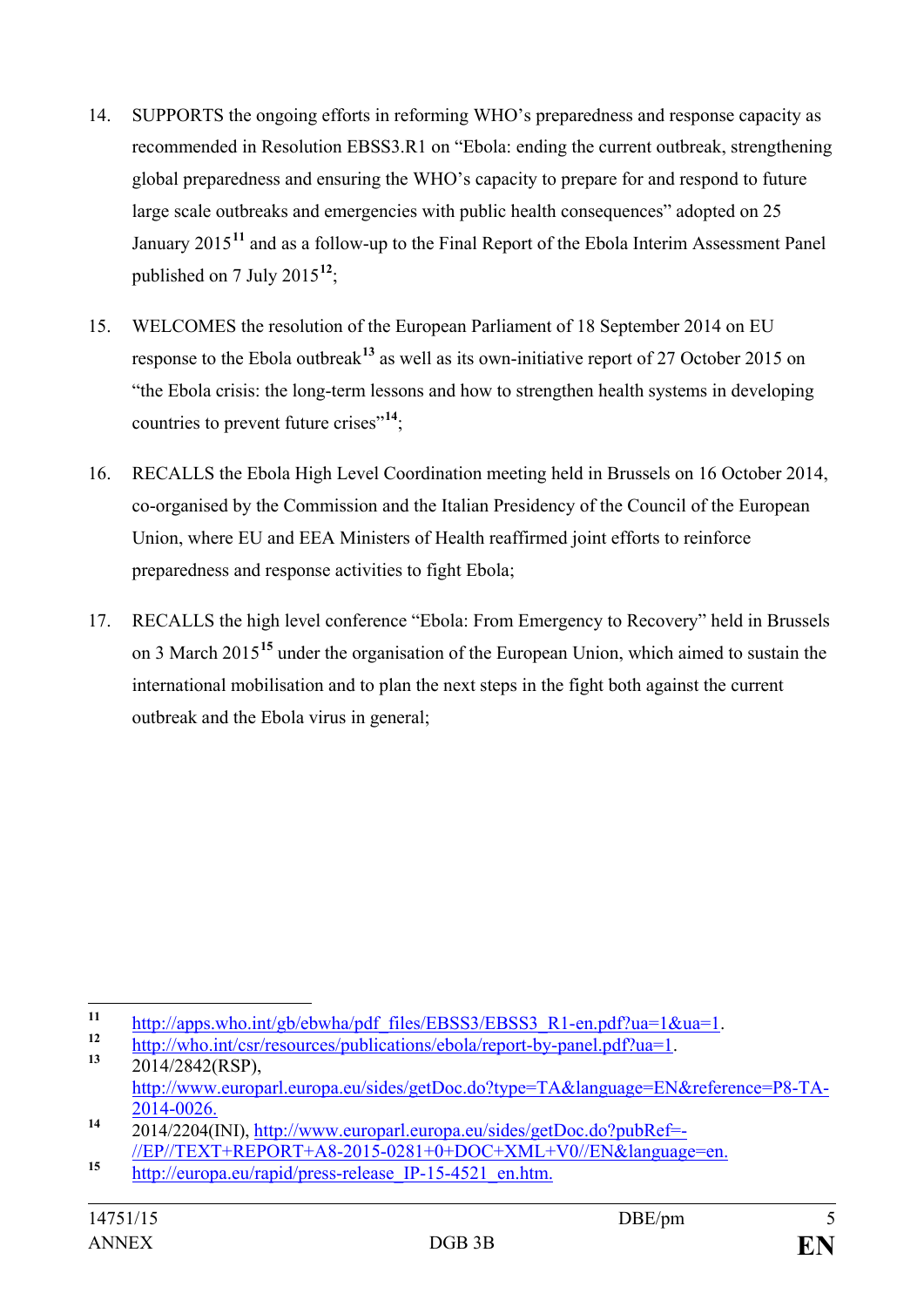- 14. SUPPORTS the ongoing efforts in reforming WHO's preparedness and response capacity as recommended in Resolution EBSS3.R1 on "Ebola: ending the current outbreak, strengthening global preparedness and ensuring the WHO's capacity to prepare for and respond to future large scale outbreaks and emergencies with public health consequences" adopted on 25 January 2015**[11](#page-4-0)** and as a follow-up to the Final Report of the Ebola Interim Assessment Panel published on 7 July 2015**[12](#page-4-1)**;
- 15. WELCOMES the resolution of the European Parliament of 18 September 2014 on EU response to the Ebola outbreak**[13](#page-4-2)** as well as its own-initiative report of 27 October 2015 on "the Ebola crisis: the long-term lessons and how to strengthen health systems in developing countries to prevent future crises"**[14](#page-4-3)**;
- 16. RECALLS the Ebola High Level Coordination meeting held in Brussels on 16 October 2014, co-organised by the Commission and the Italian Presidency of the Council of the European Union, where EU and EEA Ministers of Health reaffirmed joint efforts to reinforce preparedness and response activities to fight Ebola;
- 17. RECALLS the high level conference "Ebola: From Emergency to Recovery" held in Brussels on 3 March 2015**[15](#page-4-4)** under the organisation of the European Union, which aimed to sustain the international mobilisation and to plan the next steps in the fight both against the current outbreak and the Ebola virus in general;

<span id="page-4-1"></span><span id="page-4-0"></span><sup>11</sup> [http://apps.who.int/gb/ebwha/pdf\\_files/EBSS3/EBSS3\\_R1-en.pdf?ua=1&ua=1.](http://apps.who.int/gb/ebwha/pdf_files/EBSS3/EBSS3_R1-en.pdf?ua=1&ua=1)<br>
12 [http://who.int/csr/resources/publications/ebola/report-by-panel.pdf?ua=1.](http://who.int/csr/resources/publications/ebola/report-by-panel.pdf?ua=1)<br>
13 2014/2842(RSP),

<span id="page-4-2"></span>[http://www.europarl.europa.eu/sides/getDoc.do?type=TA&language=EN&reference=P8-TA-](http://www.europarl.europa.eu/sides/getDoc.do?type=TA&language=EN&reference=P8-TA-2014-0026)

<span id="page-4-3"></span>[<sup>2014-0026.</sup>](http://www.europarl.europa.eu/sides/getDoc.do?type=TA&language=EN&reference=P8-TA-2014-0026) **<sup>14</sup>** 2014/2204(INI), [http://www.europarl.europa.eu/sides/getDoc.do?pubRef=-](http://www.europarl.europa.eu/sides/getDoc.do?pubRef=-//EP//TEXT+REPORT+A8-2015-0281+0+DOC+XML+V0//EN&language=en) [//EP//TEXT+REPORT+A8-2015-0281+0+DOC+XML+V0//EN&language=en.](http://www.europarl.europa.eu/sides/getDoc.do?pubRef=-//EP//TEXT+REPORT+A8-2015-0281+0+DOC+XML+V0//EN&language=en) **<sup>15</sup>** [http://europa.eu/rapid/press-release\\_IP-15-4521\\_en.htm.](http://europa.eu/rapid/press-release_IP-15-4521_en.htm)

<span id="page-4-4"></span>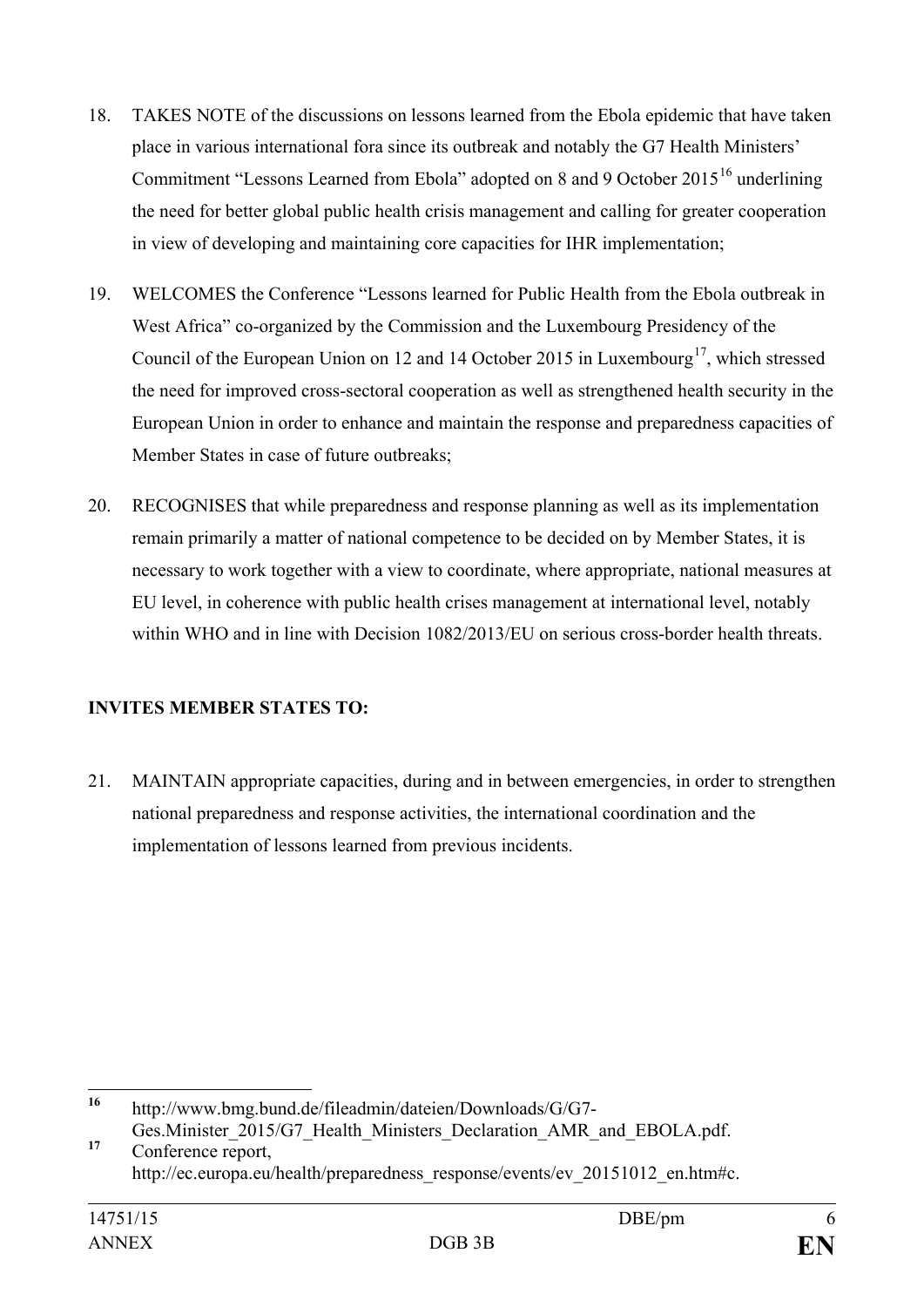- 18. TAKES NOTE of the discussions on lessons learned from the Ebola epidemic that have taken place in various international fora since its outbreak and notably the G7 Health Ministers' Commitment "Lessons Learned from Ebola" adopted on 8 and 9 October  $2015^{16}$  $2015^{16}$  $2015^{16}$  underlining the need for better global public health crisis management and calling for greater cooperation in view of developing and maintaining core capacities for IHR implementation;
- 19. WELCOMES the Conference "Lessons learned for Public Health from the Ebola outbreak in West Africa" co-organized by the Commission and the Luxembourg Presidency of the Council of the European Union on 12 and 14 October 2015 in Luxembourg<sup>[17](#page-5-1)</sup>, which stressed the need for improved cross-sectoral cooperation as well as strengthened health security in the European Union in order to enhance and maintain the response and preparedness capacities of Member States in case of future outbreaks;
- 20. RECOGNISES that while preparedness and response planning as well as its implementation remain primarily a matter of national competence to be decided on by Member States, it is necessary to work together with a view to coordinate, where appropriate, national measures at EU level, in coherence with public health crises management at international level, notably within WHO and in line with Decision 1082/2013/EU on serious cross-border health threats.

## **INVITES MEMBER STATES TO:**

21. MAINTAIN appropriate capacities, during and in between emergencies, in order to strengthen national preparedness and response activities, the international coordination and the implementation of lessons learned from previous incidents.

<span id="page-5-0"></span>**<sup>16</sup>** http://www.bmg.bund.de/fileadmin/dateien/Downloads/G/G7- Ges.Minister 2015/G7 Health Ministers Declaration AMR and EBOLA.pdf.

<span id="page-5-1"></span><sup>&</sup>lt;sup>17</sup> Conference report, http://ec.europa.eu/health/preparedness\_response/events/ev\_20151012\_en.htm#c.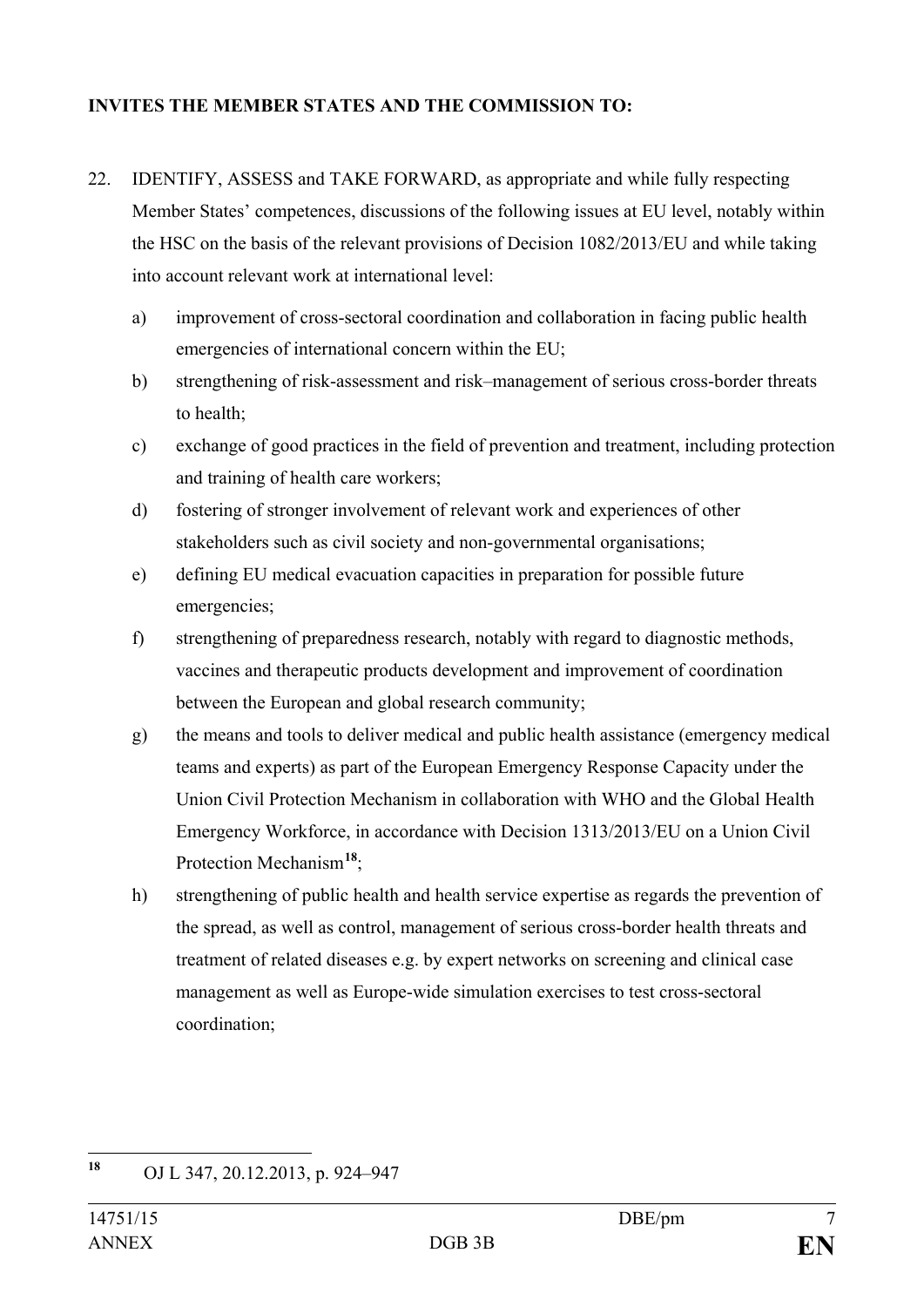### **INVITES THE MEMBER STATES AND THE COMMISSION TO:**

- 22. IDENTIFY, ASSESS and TAKE FORWARD, as appropriate and while fully respecting Member States' competences, discussions of the following issues at EU level, notably within the HSC on the basis of the relevant provisions of Decision 1082/2013/EU and while taking into account relevant work at international level:
	- a) improvement of cross-sectoral coordination and collaboration in facing public health emergencies of international concern within the EU;
	- b) strengthening of risk-assessment and risk–management of serious cross-border threats to health;
	- c) exchange of good practices in the field of prevention and treatment, including protection and training of health care workers;
	- d) fostering of stronger involvement of relevant work and experiences of other stakeholders such as civil society and non-governmental organisations;
	- e) defining EU medical evacuation capacities in preparation for possible future emergencies;
	- f) strengthening of preparedness research, notably with regard to diagnostic methods, vaccines and therapeutic products development and improvement of coordination between the European and global research community;
	- g) the means and tools to deliver medical and public health assistance (emergency medical teams and experts) as part of the European Emergency Response Capacity under the Union Civil Protection Mechanism in collaboration with WHO and the Global Health Emergency Workforce, in accordance with Decision 1313/2013/EU on a Union Civil Protection Mechanism**[18](#page-6-0)**;
	- h) strengthening of public health and health service expertise as regards the prevention of the spread, as well as control, management of serious cross-border health threats and treatment of related diseases e.g. by expert networks on screening and clinical case management as well as Europe-wide simulation exercises to test cross-sectoral coordination;

<span id="page-6-0"></span>**<sup>18</sup>** OJ L 347, 20.12.2013, p. 924–947